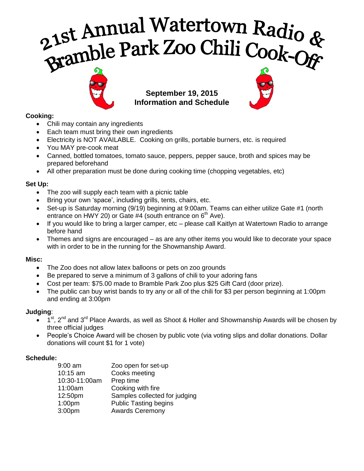# 21st Annual Watertown Radio &<br>Bramble Park Zoo Chili Cook-Of



**September 19, 2015 Information and Schedule**



# **Cooking:**

- Chili may contain any ingredients
- Each team must bring their own ingredients
- Electricity is NOT AVAILABLE. Cooking on grills, portable burners, etc. is required
- You MAY pre-cook meat
- Canned, bottled tomatoes, tomato sauce, peppers, pepper sauce, broth and spices may be prepared beforehand
- All other preparation must be done during cooking time (chopping vegetables, etc)

### **Set Up:**

- The zoo will supply each team with a picnic table
- Bring your own 'space', including grills, tents, chairs, etc.
- Set-up is Saturday morning (9/19) beginning at 9:00am. Teams can either utilize Gate #1 (north entrance on HWY 20) or Gate #4 (south entrance on  $6<sup>th</sup>$  Ave).
- If you would like to bring a larger camper, etc please call Kaitlyn at Watertown Radio to arrange before hand
- Themes and signs are encouraged as are any other items you would like to decorate your space with in order to be in the running for the Showmanship Award.

## **Misc:**

- The Zoo does not allow latex balloons or pets on zoo grounds
- Be prepared to serve a minimum of 3 gallons of chili to your adoring fans
- Cost per team: \$75.00 made to Bramble Park Zoo plus \$25 Gift Card (door prize).
- The public can buy wrist bands to try any or all of the chili for \$3 per person beginning at 1:00pm and ending at 3:00pm

## **Judging**:

- $\bullet$  1<sup>st</sup>, 2<sup>nd</sup> and 3<sup>rd</sup> Place Awards, as well as Shoot & Holler and Showmanship Awards will be chosen by three official judges
- People's Choice Award will be chosen by public vote (via voting slips and dollar donations. Dollar donations will count \$1 for 1 vote)

## **Schedule:**

| 9:00 am<br>10:15 am | Zoo open for set-up<br>Cooks meeting |
|---------------------|--------------------------------------|
| 10:30-11:00am       | Prep time                            |
| 11:00am             | Cooking with fire                    |
| 12:50pm             | Samples collected for judging        |
| 1:00 <sub>pm</sub>  | <b>Public Tasting begins</b>         |
| 3:00pm              | <b>Awards Ceremony</b>               |
|                     |                                      |